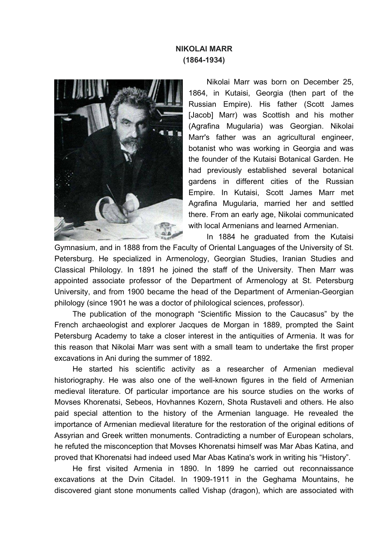## **NIKOLAI MARR (1864-1934)**



Nikolai Marr was born on December 25, 1864, in Kutaisi, Georgia (then part of the Russian Empire). His father (Scott James [Jacob] Marr) was Scottish and his mother (Agrafina Mugularia) was Georgian. Nikolai Marr's father was an agricultural engineer, botanist who was working in Georgia and was the founder of the Kutaisi Botanical Garden. He had previously established several botanical gardens in different cities of the Russian Empire. In Kutaisi, Scott James Marr met Agrafina Mugularia, married her and settled there. From an early age, Nikolai communicated with local Armenians and learned Armenian.

In 1884 he graduated from the Kutaisi

Gymnasium, and in 1888 from the Faculty of Oriental Languages of the University of St. Petersburg. He specialized in Armenology, Georgian Studies, Iranian Studies and Classical Philology. In 1891 he joined the staff of the University. Then Marr was appointed associate professor of the Department of Armenology at St. Petersburg University, and from 1900 became the head of the Department of Armenian-Georgian philology (since 1901 he was a doctor of philological sciences, professor).

The publication of the monograph "Scientific Mission to the Caucasus" by the French archaeologist and explorer Jacques de Morgan in 1889, prompted the Saint Petersburg Academy to take a closer interest in the antiquities of Armenia. It was for this reason that Nikolai Marr was sent with a small team to undertake the first proper excavations in Ani during the summer of 1892.

He started his scientific activity as a researcher of Armenian medieval historiography. He was also one of the well-known figures in the field of Armenian medieval literature. Of particular importance are his source studies on the works of Movses Khorenatsi, Sebeos, Hovhannes Kozern, Shota Rustaveli and others. He also paid special attention to the history of the Armenian language. He revealed the importance of Armenian medieval literature for the restoration of the original editions of Assyrian and Greek written monuments. Contradicting a number of European scholars, he refuted the misconception that Movses Khorenatsi himself was Mar Abas Katina, and proved that Khorenatsi had indeed used Mar Abas Katina's work in writing his "History".

He first visited Armenia in 1890. In 1899 he carried out reconnaissance excavations at the Dvin Citadel. In 1909-1911 in the Geghama Mountains, he discovered giant stone monuments called Vishap (dragon), which are associated with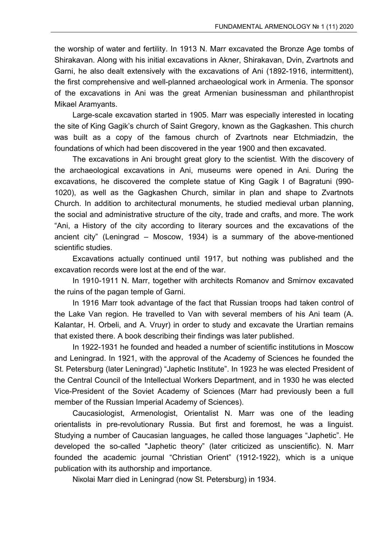the worship of water and fertility. In 1913 N. Marr excavated the Bronze Age tombs of Shirakavan. Along with his initial excavations in Akner, Shirakavan, Dvin, Zvartnots and Garni, he also dealt extensively with the excavations of Ani (1892-1916, intermittent), the first comprehensive and well-planned archaeological work in Armenia. The sponsor of the excavations in Ani was the great Armenian businessman and philanthropist Mikael Aramyants.

Large-scale excavation started in 1905. Marr was especially interested in locating the site of King Gagik's church of Saint Gregory, known as the Gagkashen. This church was built as a copy of the famous church of Zvartnots near Etchmiadzin, the foundations of which had been discovered in the year 1900 and then excavated.

The excavations in Ani brought great glory to the scientist. With the discovery of the archaeological excavations in Ani, museums were opened in Ani. During the excavations, he discovered the complete statue of King Gagik I of Bagratuni (990- 1020), as well as the Gagkashen Church, similar in plan and shape to Zvartnots Church. In addition to architectural monuments, he studied medieval urban planning, the social and administrative structure of the city, trade and crafts, and more. The work "Ani, a History of the city according to literary sources and the excavations of the ancient city" (Leningrad – Moscow, 1934) is a summary of the above-mentioned scientific studies.

Excavations actually continued until 1917, but nothing was published and the excavation records were lost at the end of the war.

In 1910-1911 N. Marr, together with architects Romanov and Smirnov excavated the ruins of the pagan temple of Garni.

In 1916 Marr took advantage of the fact that Russian troops had taken control of the Lake Van region. He travelled to Van with several members of his Ani team (A. Kalantar, H. Orbeli, and A. Vruyr) in order to study and excavate the Urartian remains that existed there. A book describing their findings was later published.

In 1922-1931 he founded and headed a number of scientific institutions in Moscow and Leningrad. In 1921, with the approval of the Academy of Sciences he founded the St. Petersburg (later Leningrad) "Japhetic Institute". In 1923 he was elected President of the Central Council of the Intellectual Workers Department, and in 1930 he was elected Vice-President of the Soviet Academy of Sciences (Marr had previously been a full member of the Russian Imperial Academy of Sciences).

Caucasiologist, Armenologist, Orientalist N. Marr was one of the leading orientalists in pre-revolutionary Russia. But first and foremost, he was a linguist. Studying a number of Caucasian languages, he called those languages "Japhetic". He developed the so-called "Japhetic theory" (later criticized as unscientific). N. Marr founded the academic journal "Christian Orient" (1912-1922), which is a unique publication with its authorship and importance.

Niкolai Marr died in Leningrad (now St. Petersburg) in 1934.